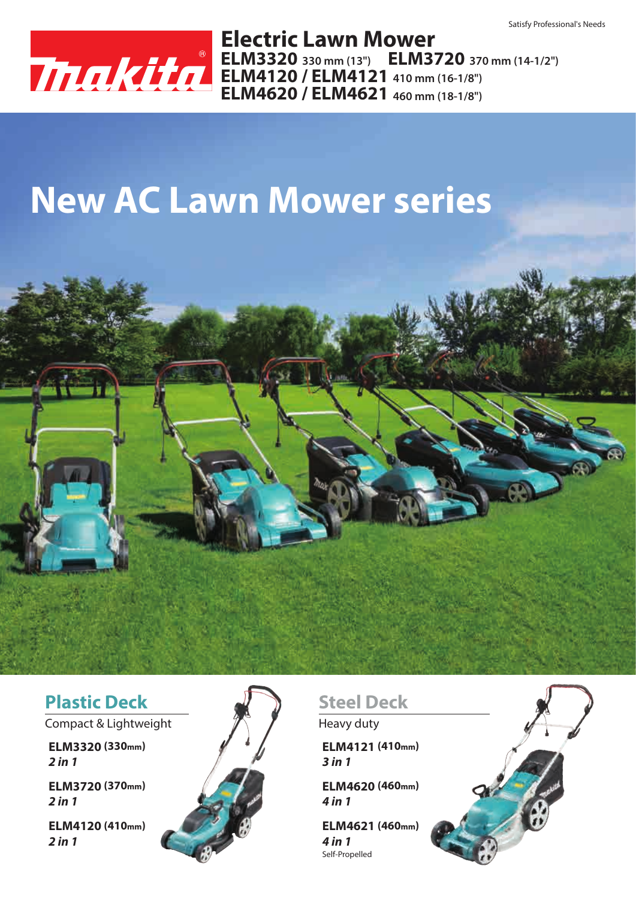

**ELM3320 330 mm (13") ELM3720 370 mm (14-1/2") ELM4120 / ELM4121 410 mm (16-1/8") ELM4620 / ELM4621 460 mm (18-1/8") Electric Lawn Mower**

# **New AC Lawn Mower series**



#### **Plastic Deck**

Compact & Lightweight  $\mathscr{H}$   $\blacksquare$  Heavy duty

**ELM3320 (330mm)** *2 in 1*

*2 in 1* **ELM3720 (370mm)**

*2 in 1* **ELM4120 (410mm)**



### **Steel Deck**

*3 in 1* **ELM4121 (410mm)**

*4 in 1* **ELM4620 (460mm)**

Self-Propelled *4 in 1* **ELM4621 (460mm)**